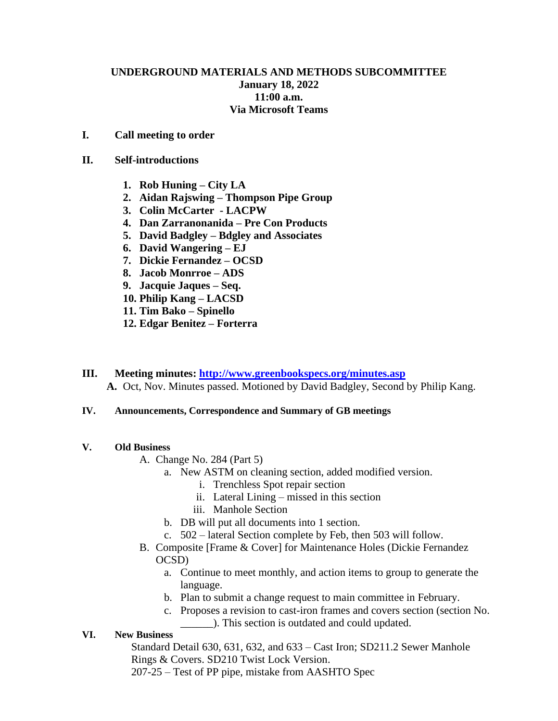# **UNDERGROUND MATERIALS AND METHODS SUBCOMMITTEE January 18, 2022 11:00 a.m. Via Microsoft Teams**

## **I. Call meeting to order**

#### **II. Self-introductions**

- **1. Rob Huning – City LA**
- **2. Aidan Rajswing – Thompson Pipe Group**
- **3. Colin McCarter - LACPW**
- **4. Dan Zarranonanida – Pre Con Products**
- **5. David Badgley – Bdgley and Associates**
- **6. David Wangering – EJ**
- **7. Dickie Fernandez – OCSD**
- **8. Jacob Monrroe – ADS**
- **9. Jacquie Jaques – Seq.**
- **10. Philip Kang – LACSD**
- **11. Tim Bako – Spinello**
- **12. Edgar Benitez – Forterra**
- **III. Meeting minutes: <http://www.greenbookspecs.org/minutes.asp> A.** Oct, Nov. Minutes passed. Motioned by David Badgley, Second by Philip Kang.

## **IV. Announcements, Correspondence and Summary of GB meetings**

## **V. Old Business**

- A. Change No. 284 (Part 5)
	- a. New ASTM on cleaning section, added modified version.
		- i. Trenchless Spot repair section
		- ii. Lateral Lining missed in this section
		- iii. Manhole Section
	- b. DB will put all documents into 1 section.
	- c. 502 lateral Section complete by Feb, then 503 will follow.
- B. Composite [Frame & Cover] for Maintenance Holes (Dickie Fernandez OCSD)
	- a. Continue to meet monthly, and action items to group to generate the language.
	- b. Plan to submit a change request to main committee in February.
	- c. Proposes a revision to cast-iron frames and covers section (section No. \_\_\_\_\_\_). This section is outdated and could updated.

## **VI. New Business**

Standard Detail 630, 631, 632, and 633 – Cast Iron; SD211.2 Sewer Manhole Rings & Covers. SD210 Twist Lock Version.

207-25 – Test of PP pipe, mistake from AASHTO Spec